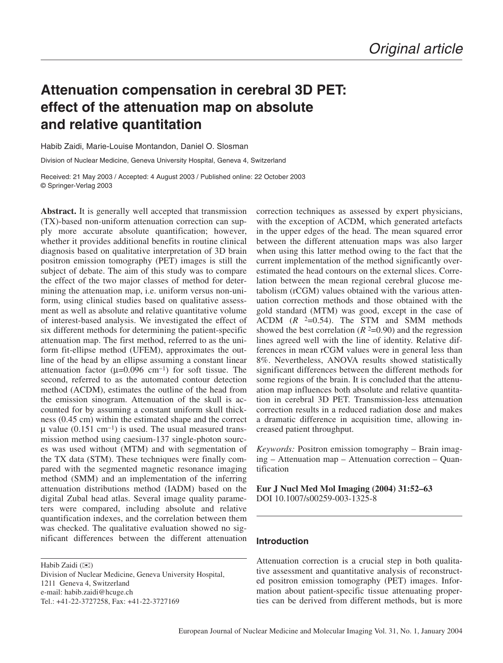# **Attenuation compensation in cerebral 3D PET: effect of the attenuation map on absolute and relative quantitation**

Habib Zaidi, Marie-Louise Montandon, Daniel O. Slosman

Division of Nuclear Medicine, Geneva University Hospital, Geneva 4, Switzerland

Received: 21 May 2003 / Accepted: 4 August 2003 / Published online: 22 October 2003 © Springer-Verlag 2003

**Abstract.** It is generally well accepted that transmission (TX)-based non-uniform attenuation correction can supply more accurate absolute quantification; however, whether it provides additional benefits in routine clinical diagnosis based on qualitative interpretation of 3D brain positron emission tomography (PET) images is still the subject of debate. The aim of this study was to compare the effect of the two major classes of method for determining the attenuation map, i.e. uniform versus non-uniform, using clinical studies based on qualitative assessment as well as absolute and relative quantitative volume of interest-based analysis. We investigated the effect of six different methods for determining the patient-specific attenuation map. The first method, referred to as the uniform fit-ellipse method (UFEM), approximates the outline of the head by an ellipse assuming a constant linear attenuation factor ( $\mu$ =0.096 cm<sup>-1</sup>) for soft tissue. The second, referred to as the automated contour detection method (ACDM), estimates the outline of the head from the emission sinogram. Attenuation of the skull is accounted for by assuming a constant uniform skull thickness (0.45 cm) within the estimated shape and the correct  $\mu$  value (0.151 cm<sup>-1</sup>) is used. The usual measured transmission method using caesium-137 single-photon sources was used without (MTM) and with segmentation of the TX data (STM). These techniques were finally compared with the segmented magnetic resonance imaging method (SMM) and an implementation of the inferring attenuation distributions method (IADM) based on the digital Zubal head atlas. Several image quality parameters were compared, including absolute and relative quantification indexes, and the correlation between them was checked. The qualitative evaluation showed no significant differences between the different attenuation

Habib Zaidi (⊠)

Division of Nuclear Medicine, Geneva University Hospital, 1211 Geneva 4, Switzerland e-mail: habib.zaidi@hcuge.ch Tel.: +41-22-3727258, Fax: +41-22-3727169

correction techniques as assessed by expert physicians, with the exception of ACDM, which generated artefacts in the upper edges of the head. The mean squared error between the different attenuation maps was also larger when using this latter method owing to the fact that the current implementation of the method significantly overestimated the head contours on the external slices. Correlation between the mean regional cerebral glucose metabolism (rCGM) values obtained with the various attenuation correction methods and those obtained with the gold standard (MTM) was good, except in the case of ACDM  $(R \text{ }^2=0.54)$ . The STM and SMM methods showed the best correlation  $(R^2=0.90)$  and the regression lines agreed well with the line of identity. Relative differences in mean rCGM values were in general less than 8%. Nevertheless, ANOVA results showed statistically significant differences between the different methods for some regions of the brain. It is concluded that the attenuation map influences both absolute and relative quantitation in cerebral 3D PET. Transmission-less attenuation correction results in a reduced radiation dose and makes a dramatic difference in acquisition time, allowing increased patient throughput.

*Keywords:* Positron emission tomography – Brain imaging – Attenuation map – Attenuation correction – Quantification

**Eur J Nucl Med Mol Imaging (2004) 31:52–63** DOI 10.1007/s00259-003-1325-8

# **Introduction**

Attenuation correction is a crucial step in both qualitative assessment and quantitative analysis of reconstructed positron emission tomography (PET) images. Information about patient-specific tissue attenuating properties can be derived from different methods, but is more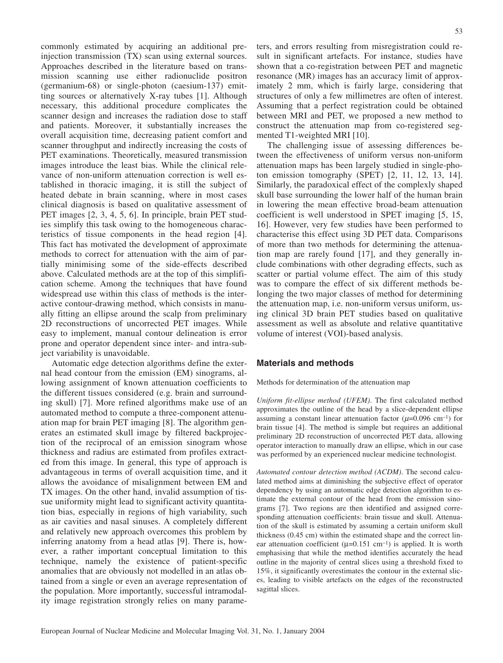commonly estimated by acquiring an additional preinjection transmission (TX) scan using external sources. Approaches described in the literature based on transmission scanning use either radionuclide positron (germanium-68) or single-photon (caesium-137) emitting sources or alternatively X-ray tubes [1]. Although necessary, this additional procedure complicates the scanner design and increases the radiation dose to staff and patients. Moreover, it substantially increases the overall acquisition time, decreasing patient comfort and scanner throughput and indirectly increasing the costs of PET examinations. Theoretically, measured transmission images introduce the least bias. While the clinical relevance of non-uniform attenuation correction is well established in thoracic imaging, it is still the subject of heated debate in brain scanning, where in most cases clinical diagnosis is based on qualitative assessment of PET images [2, 3, 4, 5, 6]. In principle, brain PET studies simplify this task owing to the homogeneous characteristics of tissue components in the head region [4]. This fact has motivated the development of approximate methods to correct for attenuation with the aim of partially minimising some of the side-effects described above. Calculated methods are at the top of this simplification scheme. Among the techniques that have found widespread use within this class of methods is the interactive contour-drawing method, which consists in manually fitting an ellipse around the scalp from preliminary 2D reconstructions of uncorrected PET images. While easy to implement, manual contour delineation is error prone and operator dependent since inter- and intra-subject variability is unavoidable.

Automatic edge detection algorithms define the external head contour from the emission (EM) sinograms, allowing assignment of known attenuation coefficients to the different tissues considered (e.g. brain and surrounding skull) [7]. More refined algorithms make use of an automated method to compute a three-component attenuation map for brain PET imaging [8]. The algorithm generates an estimated skull image by filtered backprojection of the reciprocal of an emission sinogram whose thickness and radius are estimated from profiles extracted from this image. In general, this type of approach is advantageous in terms of overall acquisition time, and it allows the avoidance of misalignment between EM and TX images. On the other hand, invalid assumption of tissue uniformity might lead to significant activity quantitation bias, especially in regions of high variability, such as air cavities and nasal sinuses. A completely different and relatively new approach overcomes this problem by inferring anatomy from a head atlas [9]. There is, however, a rather important conceptual limitation to this technique, namely the existence of patient-specific anomalies that are obviously not modelled in an atlas obtained from a single or even an average representation of the population. More importantly, successful intramodality image registration strongly relies on many parameters, and errors resulting from misregistration could result in significant artefacts. For instance, studies have shown that a co-registration between PET and magnetic resonance (MR) images has an accuracy limit of approximately 2 mm, which is fairly large, considering that structures of only a few millimetres are often of interest. Assuming that a perfect registration could be obtained between MRI and PET, we proposed a new method to construct the attenuation map from co-registered segmented T1-weighted MRI [10].

The challenging issue of assessing differences between the effectiveness of uniform versus non-uniform attenuation maps has been largely studied in single-photon emission tomography (SPET) [2, 11, 12, 13, 14]. Similarly, the paradoxical effect of the complexly shaped skull base surrounding the lower half of the human brain in lowering the mean effective broad-beam attenuation coefficient is well understood in SPET imaging [5, 15, 16]. However, very few studies have been performed to characterise this effect using 3D PET data. Comparisons of more than two methods for determining the attenuation map are rarely found [17], and they generally include combinations with other degrading effects, such as scatter or partial volume effect. The aim of this study was to compare the effect of six different methods belonging the two major classes of method for determining the attenuation map, i.e. non-uniform versus uniform, using clinical 3D brain PET studies based on qualitative assessment as well as absolute and relative quantitative volume of interest (VOI)-based analysis.

# **Materials and methods**

Methods for determination of the attenuation map

*Uniform fit-ellipse method (UFEM)*. The first calculated method approximates the outline of the head by a slice-dependent ellipse assuming a constant linear attenuation factor  $(\mu=0.096 \text{ cm}^{-1})$  for brain tissue [4]. The method is simple but requires an additional preliminary 2D reconstruction of uncorrected PET data, allowing operator interaction to manually draw an ellipse, which in our case was performed by an experienced nuclear medicine technologist.

*Automated contour detection method (ACDM)*. The second calculated method aims at diminishing the subjective effect of operator dependency by using an automatic edge detection algorithm to estimate the external contour of the head from the emission sinograms [7]. Two regions are then identified and assigned corresponding attenuation coefficients: brain tissue and skull. Attenuation of the skull is estimated by assuming a certain uniform skull thickness (0.45 cm) within the estimated shape and the correct linear attenuation coefficient ( $\mu$ =0.151 cm<sup>-1</sup>) is applied. It is worth emphasising that while the method identifies accurately the head outline in the majority of central slices using a threshold fixed to 15%, it significantly overestimates the contour in the external slices, leading to visible artefacts on the edges of the reconstructed sagittal slices.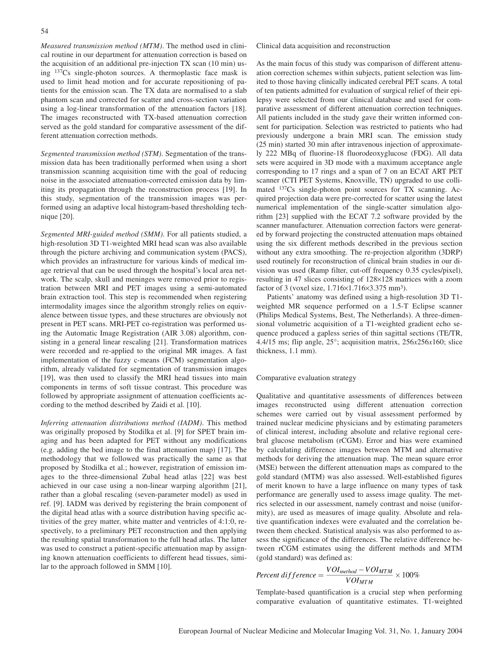*Measured transmission method (MTM)*. The method used in clinical routine in our department for attenuation correction is based on the acquisition of an additional pre-injection TX scan (10 min) using 137Cs single-photon sources. A thermoplastic face mask is used to limit head motion and for accurate repositioning of patients for the emission scan. The TX data are normalised to a slab phantom scan and corrected for scatter and cross-section variation using a log-linear transformation of the attenuation factors [18]. The images reconstructed with TX-based attenuation correction served as the gold standard for comparative assessment of the different attenuation correction methods.

*Segmented transmission method (STM)*. Segmentation of the transmission data has been traditionally performed when using a short transmission scanning acquisition time with the goal of reducing noise in the associated attenuation-corrected emission data by limiting its propagation through the reconstruction process [19]. In this study, segmentation of the transmission images was performed using an adaptive local histogram-based thresholding technique [20].

*Segmented MRI-guided method (SMM)*. For all patients studied, a high-resolution 3D T1-weighted MRI head scan was also available through the picture archiving and communication system (PACS), which provides an infrastructure for various kinds of medical image retrieval that can be used through the hospital's local area network. The scalp, skull and meninges were removed prior to registration between MRI and PET images using a semi-automated brain extraction tool. This step is recommended when registering intermodality images since the algorithm strongly relies on equivalence between tissue types, and these structures are obviously not present in PET scans. MRI-PET co-registration was performed using the Automatic Image Registration (AIR 3.08) algorithm, consisting in a general linear rescaling [21]. Transformation matrices were recorded and re-applied to the original MR images. A fast implementation of the fuzzy c-means (FCM) segmentation algorithm, already validated for segmentation of transmission images [19], was then used to classify the MRI head tissues into main components in terms of soft tissue contrast. This procedure was followed by appropriate assignment of attenuation coefficients according to the method described by Zaidi et al. [10].

*Inferring attenuation distributions method (IADM)*. This method was originally proposed by Stodilka et al. [9] for SPET brain imaging and has been adapted for PET without any modifications (e.g. adding the bed image to the final attenuation map) [17]. The methodology that we followed was practically the same as that proposed by Stodilka et al.; however, registration of emission images to the three-dimensional Zubal head atlas [22] was best achieved in our case using a non-linear warping algorithm [21], rather than a global rescaling (seven-parameter model) as used in ref. [9]. IADM was derived by registering the brain component of the digital head atlas with a source distribution having specific activities of the grey matter, white matter and ventricles of 4:1:0, respectively, to a preliminary PET reconstruction and then applying the resulting spatial transformation to the full head atlas. The latter was used to construct a patient-specific attenuation map by assigning known attenuation coefficients to different head tissues, similar to the approach followed in SMM [10].

Clinical data acquisition and reconstruction

As the main focus of this study was comparison of different attenuation correction schemes within subjects, patient selection was limited to those having clinically indicated cerebral PET scans. A total of ten patients admitted for evaluation of surgical relief of their epilepsy were selected from our clinical database and used for comparative assessment of different attenuation correction techniques. All patients included in the study gave their written informed consent for participation. Selection was restricted to patients who had previously undergone a brain MRI scan. The emission study (25 min) started 30 min after intravenous injection of approximately 222 MBq of fluorine-18 fluorodeoxyglucose (FDG). All data sets were acquired in 3D mode with a maximum acceptance angle corresponding to 17 rings and a span of 7 on an ECAT ART PET scanner (CTI PET Systems, Knoxville, TN) upgraded to use collimated 137Cs single-photon point sources for TX scanning. Acquired projection data were pre-corrected for scatter using the latest numerical implementation of the single-scatter simulation algorithm [23] supplied with the ECAT 7.2 software provided by the scanner manufacturer. Attenuation correction factors were generated by forward projecting the constructed attenuation maps obtained using the six different methods described in the previous section without any extra smoothing. The re-projection algorithm (3DRP) used routinely for reconstruction of clinical brain studies in our division was used (Ramp filter, cut-off frequency 0.35 cycles/pixel), resulting in 47 slices consisting of 128×128 matrices with a zoom factor of 3 (voxel size, 1.716×1.716×3.375 mm3).

Patients' anatomy was defined using a high-resolution 3D T1 weighted MR sequence performed on a 1.5-T Eclipse scanner (Philips Medical Systems, Best, The Netherlands). A three-dimensional volumetric acquisition of a T1-weighted gradient echo sequence produced a gapless series of thin sagittal sections (TE/TR, 4.4/15 ms; flip angle, 25°; acquisition matrix, 256*x*256*x*160; slice thickness, 1.1 mm).

#### Comparative evaluation strategy

Qualitative and quantitative assessments of differences between images reconstructed using different attenuation correction schemes were carried out by visual assessment performed by trained nuclear medicine physicians and by estimating parameters of clinical interest, including absolute and relative regional cerebral glucose metabolism (rCGM). Error and bias were examined by calculating difference images between MTM and alternative methods for deriving the attenuation map. The mean square error (MSE) between the different attenuation maps as compared to the gold standard (MTM) was also assessed. Well-established figures of merit known to have a large influence on many types of task performance are generally used to assess image quality. The metrics selected in our assessment, namely contrast and noise (uniformity), are used as measures of image quality. Absolute and relative quantification indexes were evaluated and the correlation between them checked. Statistical analysis was also performed to assess the significance of the differences. The relative difference between rCGM estimates using the different methods and MTM (gold standard) was defined as:

$$
Percent difference = \frac{VOI_{method} - VOI_{MTM}}{VOI_{MTM}} \times 100\%
$$

Template-based quantification is a crucial step when performing comparative evaluation of quantitative estimates. T1-weighted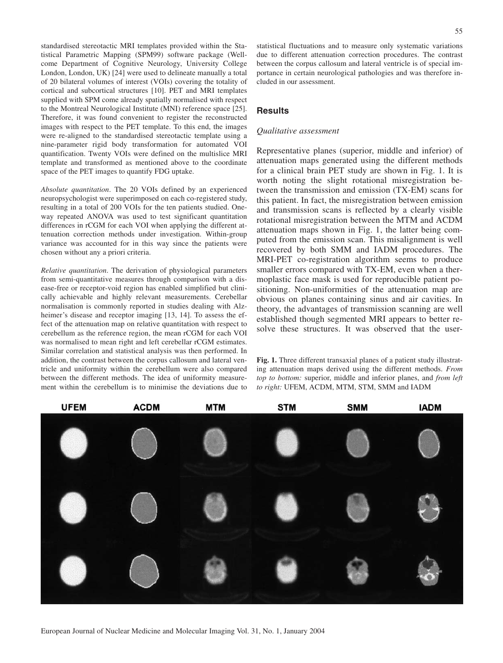standardised stereotactic MRI templates provided within the Statistical Parametric Mapping (SPM99) software package (Wellcome Department of Cognitive Neurology, University College London, London, UK) [24] were used to delineate manually a total of 20 bilateral volumes of interest (VOIs) covering the totality of cortical and subcortical structures [10]. PET and MRI templates supplied with SPM come already spatially normalised with respect to the Montreal Neurological Institute (MNI) reference space [25]. Therefore, it was found convenient to register the reconstructed images with respect to the PET template. To this end, the images were re-aligned to the standardised stereotactic template using a nine-parameter rigid body transformation for automated VOI quantification. Twenty VOIs were defined on the multislice MRI template and transformed as mentioned above to the coordinate space of the PET images to quantify FDG uptake.

*Absolute quantitation*. The 20 VOIs defined by an experienced neuropsychologist were superimposed on each co-registered study, resulting in a total of 200 VOIs for the ten patients studied. Oneway repeated ANOVA was used to test significant quantitation differences in rCGM for each VOI when applying the different attenuation correction methods under investigation. Within-group variance was accounted for in this way since the patients were chosen without any a priori criteria.

*Relative quantitation*. The derivation of physiological parameters from semi-quantitative measures through comparison with a disease-free or receptor-void region has enabled simplified but clinically achievable and highly relevant measurements. Cerebellar normalisation is commonly reported in studies dealing with Alzheimer's disease and receptor imaging [13, 14]. To assess the effect of the attenuation map on relative quantitation with respect to cerebellum as the reference region, the mean rCGM for each VOI was normalised to mean right and left cerebellar rCGM estimates. Similar correlation and statistical analysis was then performed. In addition, the contrast between the corpus callosum and lateral ventricle and uniformity within the cerebellum were also compared between the different methods. The idea of uniformity measurement within the cerebellum is to minimise the deviations due to

statistical fluctuations and to measure only systematic variations due to different attenuation correction procedures. The contrast between the corpus callosum and lateral ventricle is of special importance in certain neurological pathologies and was therefore included in our assessment.

## **Results**

## *Qualitative assessment*

Representative planes (superior, middle and inferior) of attenuation maps generated using the different methods for a clinical brain PET study are shown in Fig. 1. It is worth noting the slight rotational misregistration between the transmission and emission (TX-EM) scans for this patient. In fact, the misregistration between emission and transmission scans is reflected by a clearly visible rotational misregistration between the MTM and ACDM attenuation maps shown in Fig. 1, the latter being computed from the emission scan. This misalignment is well recovered by both SMM and IADM procedures. The MRI-PET co-registration algorithm seems to produce smaller errors compared with TX-EM, even when a thermoplastic face mask is used for reproducible patient positioning. Non-uniformities of the attenuation map are obvious on planes containing sinus and air cavities. In theory, the advantages of transmission scanning are well established though segmented MRI appears to better resolve these structures. It was observed that the user-

**Fig. 1.** Three different transaxial planes of a patient study illustrating attenuation maps derived using the different methods. *From top to bottom:* superior, middle and inferior planes, and *from left to right:* UFEM, ACDM, MTM, STM, SMM and IADM

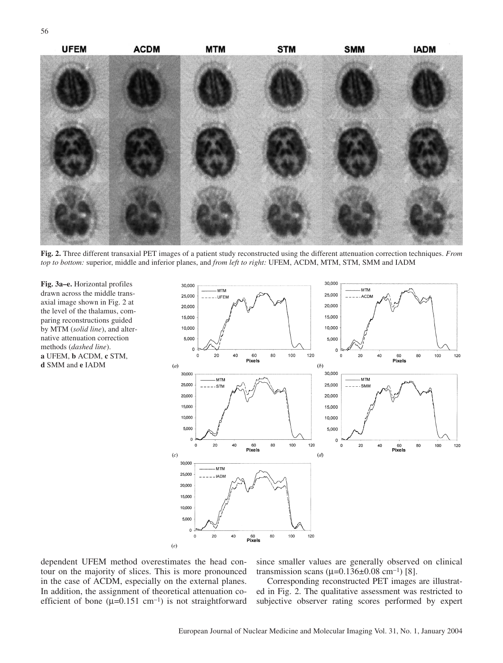

**Fig. 2.** Three different transaxial PET images of a patient study reconstructed using the different attenuation correction techniques. *From top to bottom:* superior, middle and inferior planes, and *from left to right:* UFEM, ACDM, MTM, STM, SMM and IADM

**Fig. 3a–e.** Horizontal profiles drawn across the middle transaxial image shown in Fig. 2 at the level of the thalamus, comparing reconstructions guided by MTM (*solid line*), and alternative attenuation correction methods (*dashed line*). **a** UFEM, **b** ACDM, **c** STM, **d** SMM and **e** IADM



dependent UFEM method overestimates the head contour on the majority of slices. This is more pronounced in the case of ACDM, especially on the external planes. In addition, the assignment of theoretical attenuation coefficient of bone ( $\mu$ =0.151 cm<sup>-1</sup>) is not straightforward since smaller values are generally observed on clinical transmission scans ( $\mu$ =0.136±0.08 cm<sup>-1</sup>) [8].

Corresponding reconstructed PET images are illustrated in Fig. 2. The qualitative assessment was restricted to subjective observer rating scores performed by expert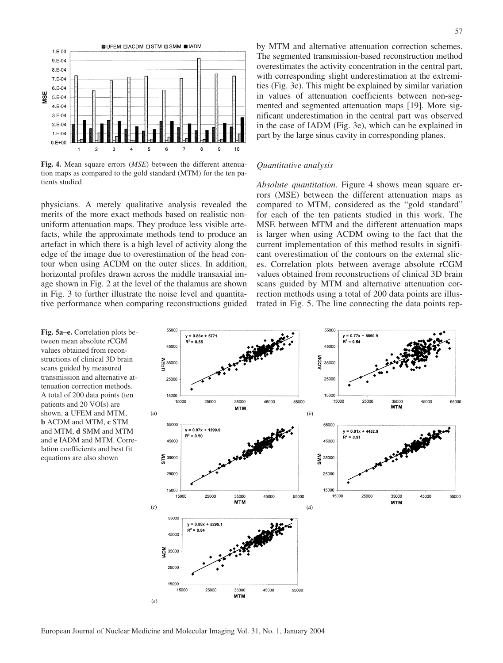

**Fig. 4.** Mean square errors (*MSE*) between the different attenuation maps as compared to the gold standard (MTM) for the ten patients studied

physicians. A merely qualitative analysis revealed the merits of the more exact methods based on realistic nonuniform attenuation maps. They produce less visible artefacts, while the approximate methods tend to produce an artefact in which there is a high level of activity along the edge of the image due to overestimation of the head contour when using ACDM on the outer slices. In addition, horizontal profiles drawn across the middle transaxial image shown in Fig. 2 at the level of the thalamus are shown in Fig. 3 to further illustrate the noise level and quantitative performance when comparing reconstructions guided by MTM and alternative attenuation correction schemes. The segmented transmission-based reconstruction method overestimates the activity concentration in the central part, with corresponding slight underestimation at the extremities (Fig. 3c). This might be explained by similar variation in values of attenuation coefficients between non-segmented and segmented attenuation maps [19]. More significant underestimation in the central part was observed in the case of IADM (Fig. 3e), which can be explained in part by the large sinus cavity in corresponding planes.

#### *Quantitative analysis*

*Absolute quantitation*. Figure 4 shows mean square errors (MSE) between the different attenuation maps as compared to MTM, considered as the "gold standard" for each of the ten patients studied in this work. The MSE between MTM and the different attenuation maps is larger when using ACDM owing to the fact that the current implementation of this method results in significant overestimation of the contours on the external slices. Correlation plots between average absolute rCGM values obtained from reconstructions of clinical 3D brain scans guided by MTM and alternative attenuation correction methods using a total of 200 data points are illustrated in Fig. 5. The line connecting the data points rep-

**Fig. 5a–e.** Correlation plots between mean absolute rCGM values obtained from reconstructions of clinical 3D brain scans guided by measured transmission and alternative attenuation correction methods. A total of 200 data points (ten patients and 20 VOIs) are shown. **a** UFEM and MTM, **b** ACDM and MTM, **c** STM and MTM, **d** SMM and MTM and **e** IADM and MTM. Correlation coefficients and best fit equations are also shown

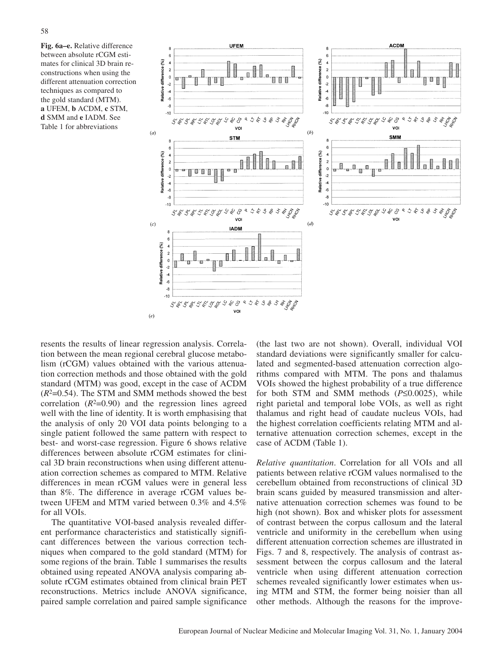**Fig. 6a–e.** Relative difference between absolute rCGM estimates for clinical 3D brain reconstructions when using the different attenuation correction techniques as compared to the gold standard (MTM). **a** UFEM, **b** ACDM, **c** STM, **d** SMM and **e** IADM. See Table 1 for abbreviations



resents the results of linear regression analysis. Correlation between the mean regional cerebral glucose metabolism (rCGM) values obtained with the various attenuation correction methods and those obtained with the gold standard (MTM) was good, except in the case of ACDM  $(R<sup>2</sup>=0.54)$ . The STM and SMM methods showed the best correlation  $(R^2=0.90)$  and the regression lines agreed well with the line of identity. It is worth emphasising that the analysis of only 20 VOI data points belonging to a single patient followed the same pattern with respect to best- and worst-case regression. Figure 6 shows relative differences between absolute rCGM estimates for clinical 3D brain reconstructions when using different attenuation correction schemes as compared to MTM. Relative differences in mean rCGM values were in general less than 8%. The difference in average rCGM values between UFEM and MTM varied between 0.3% and 4.5% for all VOIs.

The quantitative VOI-based analysis revealed different performance characteristics and statistically significant differences between the various correction techniques when compared to the gold standard (MTM) for some regions of the brain. Table 1 summarises the results obtained using repeated ANOVA analysis comparing absolute rCGM estimates obtained from clinical brain PET reconstructions. Metrics include ANOVA significance, paired sample correlation and paired sample significance

(the last two are not shown). Overall, individual VOI standard deviations were significantly smaller for calculated and segmented-based attenuation correction algorithms compared with MTM. The pons and thalamus VOIs showed the highest probability of a true difference for both STM and SMM methods (*P*≤0.0025), while right parietal and temporal lobe VOIs, as well as right thalamus and right head of caudate nucleus VOIs, had the highest correlation coefficients relating MTM and alternative attenuation correction schemes, except in the case of ACDM (Table 1).

*Relative quantitation*. Correlation for all VOIs and all patients between relative rCGM values normalised to the cerebellum obtained from reconstructions of clinical 3D brain scans guided by measured transmission and alternative attenuation correction schemes was found to be high (not shown). Box and whisker plots for assessment of contrast between the corpus callosum and the lateral ventricle and uniformity in the cerebellum when using different attenuation correction schemes are illustrated in Figs. 7 and 8, respectively. The analysis of contrast assessment between the corpus callosum and the lateral ventricle when using different attenuation correction schemes revealed significantly lower estimates when using MTM and STM, the former being noisier than all other methods. Although the reasons for the improve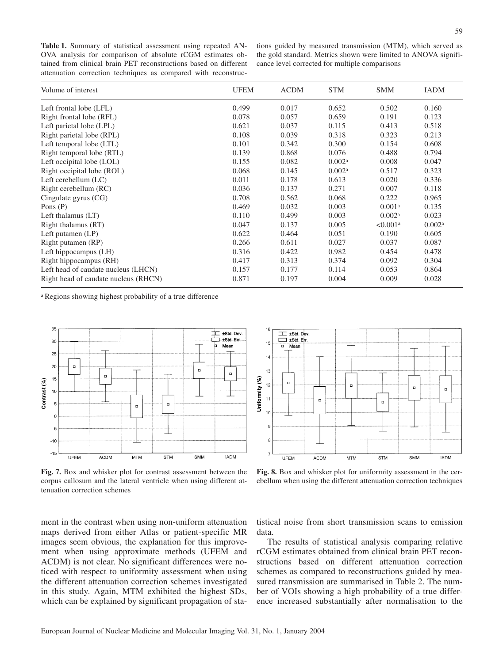**Table 1.** Summary of statistical assessment using repeated AN-OVA analysis for comparison of absolute rCGM estimates obtained from clinical brain PET reconstructions based on different attenuation correction techniques as compared with reconstructions guided by measured transmission (MTM), which served as the gold standard. Metrics shown were limited to ANOVA significance level corrected for multiple comparisons

| Volume of interest                   | <b>UFEM</b> | ACDM  | <b>STM</b>         | <b>SMM</b>             | <b>IADM</b>        |
|--------------------------------------|-------------|-------|--------------------|------------------------|--------------------|
| Left frontal lobe (LFL)              | 0.499       | 0.017 | 0.652              | 0.502                  | 0.160              |
| Right frontal lobe (RFL)             | 0.078       | 0.057 | 0.659              | 0.191                  | 0.123              |
| Left parietal lobe (LPL)             | 0.621       | 0.037 | 0.115              | 0.413                  | 0.518              |
| Right parietal lobe (RPL)            | 0.108       | 0.039 | 0.318              | 0.323                  | 0.213              |
| Left temporal lobe (LTL)             | 0.101       | 0.342 | 0.300              | 0.154                  | 0.608              |
| Right temporal lobe (RTL)            | 0.139       | 0.868 | 0.076              | 0.488                  | 0.794              |
| Left occipital lobe (LOL)            | 0.155       | 0.082 | 0.002 <sup>a</sup> | 0.008                  | 0.047              |
| Right occipital lobe (ROL)           | 0.068       | 0.145 | 0.002 <sup>a</sup> | 0.517                  | 0.323              |
| Left cerebellum (LC)                 | 0.011       | 0.178 | 0.613              | 0.020                  | 0.336              |
| Right cerebellum (RC)                | 0.036       | 0.137 | 0.271              | 0.007                  | 0.118              |
| Cingulate gyrus $(CG)$               | 0.708       | 0.562 | 0.068              | 0.222                  | 0.965              |
| Pons $(P)$                           | 0.469       | 0.032 | 0.003              | 0.001 <sup>a</sup>     | 0.135              |
| Left thalamus $(LT)$                 | 0.110       | 0.499 | 0.003              | 0.002 <sup>a</sup>     | 0.023              |
| Right thalamus (RT)                  | 0.047       | 0.137 | 0.005              | $< 0.001$ <sup>a</sup> | 0.002 <sup>a</sup> |
| Left putamen $(LP)$                  | 0.622       | 0.464 | 0.051              | 0.190                  | 0.605              |
| Right putamen (RP)                   | 0.266       | 0.611 | 0.027              | 0.037                  | 0.087              |
| Left hippocampus (LH)                | 0.316       | 0.422 | 0.982              | 0.454                  | 0.478              |
| Right hippocampus (RH)               | 0.417       | 0.313 | 0.374              | 0.092                  | 0.304              |
| Left head of caudate nucleus (LHCN)  | 0.157       | 0.177 | 0.114              | 0.053                  | 0.864              |
| Right head of caudate nucleus (RHCN) | 0.871       | 0.197 | 0.004              | 0.009                  | 0.028              |

<sup>a</sup> Regions showing highest probability of a true difference



 $\equiv$  ±Std. Dev.  $\Box$  ±Std. Err  $16$ ö Mear  $14$  $13$ Uniformity (%)  $\Box$  $12$  $\Box$  $\mathbf{a}$  $\Box$  $\ddot{\phantom{1}}$  $\overline{a}$  $\blacksquare$  $10$ ç ξ 7 UFEM **ACDM MTM STM SMM IADM** 

**Fig. 7.** Box and whisker plot for contrast assessment between the corpus callosum and the lateral ventricle when using different attenuation correction schemes

**Fig. 8.** Box and whisker plot for uniformity assessment in the cerebellum when using the different attenuation correction techniques

ment in the contrast when using non-uniform attenuation maps derived from either Atlas or patient-specific MR images seem obvious, the explanation for this improvement when using approximate methods (UFEM and ACDM) is not clear. No significant differences were noticed with respect to uniformity assessment when using the different attenuation correction schemes investigated in this study. Again, MTM exhibited the highest SDs, which can be explained by significant propagation of statistical noise from short transmission scans to emission data.

The results of statistical analysis comparing relative rCGM estimates obtained from clinical brain PET reconstructions based on different attenuation correction schemes as compared to reconstructions guided by measured transmission are summarised in Table 2. The number of VOIs showing a high probability of a true difference increased substantially after normalisation to the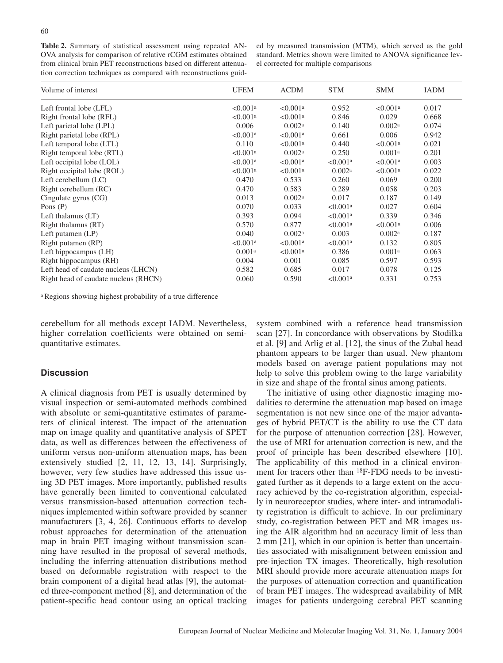60

**Table 2.** Summary of statistical assessment using repeated AN-OVA analysis for comparison of relative rCGM estimates obtained from clinical brain PET reconstructions based on different attenuation correction techniques as compared with reconstructions guid-

ed by measured transmission (MTM), which served as the gold standard. Metrics shown were limited to ANOVA significance level corrected for multiple comparisons

| Volume of interest                   | <b>UFEM</b>            | <b>ACDM</b>            | <b>STM</b>             | <b>SMM</b>             | <b>IADM</b> |
|--------------------------------------|------------------------|------------------------|------------------------|------------------------|-------------|
|                                      |                        |                        |                        |                        |             |
| Left frontal lobe (LFL)              | $< 0.001$ <sup>a</sup> | $< 0.001$ <sup>a</sup> | 0.952                  | < 0.001 <sup>a</sup>   | 0.017       |
| Right frontal lobe (RFL)             | $< 0.001$ <sup>a</sup> | $< 0.001$ <sup>a</sup> | 0.846                  | 0.029                  | 0.668       |
| Left parietal lobe (LPL)             | 0.006                  | 0.002 <sup>a</sup>     | 0.140                  | 0.002 <sup>a</sup>     | 0.074       |
| Right parietal lobe (RPL)            | $< 0.001$ <sup>a</sup> | < 0.001a               | 0.661                  | 0.006                  | 0.942       |
| Left temporal lobe (LTL)             | 0.110                  | $< 0.001$ <sup>a</sup> | 0.440                  | < 0.001 <sup>a</sup>   | 0.021       |
| Right temporal lobe (RTL)            | $< 0.001$ <sup>a</sup> | 0.002 <sup>a</sup>     | 0.250                  | 0.001 <sup>a</sup>     | 0.201       |
| Left occipital lobe (LOL)            | < 0.001a               | < 0.001a               | $< 0.001$ <sup>a</sup> | $< 0.001$ <sup>a</sup> | 0.003       |
| Right occipital lobe (ROL)           | $< 0.001$ <sup>a</sup> | $< 0.001$ <sup>a</sup> | 0.002 <sup>a</sup>     | $< 0.001$ <sup>a</sup> | 0.022       |
| Left cerebellum (LC)                 | 0.470                  | 0.533                  | 0.260                  | 0.069                  | 0.200       |
| Right cerebellum (RC)                | 0.470                  | 0.583                  | 0.289                  | 0.058                  | 0.203       |
| Cingulate gyrus $(CG)$               | 0.013                  | 0.002 <sup>a</sup>     | 0.017                  | 0.187                  | 0.149       |
| Pons $(P)$                           | 0.070                  | 0.033                  | < 0.001 <sup>a</sup>   | 0.027                  | 0.604       |
| Left thalamus (LT)                   | 0.393                  | 0.094                  | < 0.001 <sup>a</sup>   | 0.339                  | 0.346       |
| Right thalamus (RT)                  | 0.570                  | 0.877                  | < 0.001 <sup>a</sup>   | < 0.001 <sup>a</sup>   | 0.006       |
| Left putamen $(LP)$                  | 0.040                  | 0.002 <sup>a</sup>     | 0.003                  | 0.002 <sup>a</sup>     | 0.187       |
| Right putamen (RP)                   | $< 0.001$ <sup>a</sup> | $< 0.001$ <sup>a</sup> | < 0.001 <sup>a</sup>   | 0.132                  | 0.805       |
| Left hippocampus (LH)                | 0.001 <sup>a</sup>     | $< 0.001$ <sup>a</sup> | 0.386                  | 0.001 <sup>a</sup>     | 0.063       |
| Right hippocampus (RH)               | 0.004                  | 0.001                  | 0.085                  | 0.597                  | 0.593       |
| Left head of caudate nucleus (LHCN)  | 0.582                  | 0.685                  | 0.017                  | 0.078                  | 0.125       |
| Right head of caudate nucleus (RHCN) | 0.060                  | 0.590                  | $< 0.001$ <sup>a</sup> | 0.331                  | 0.753       |

<sup>a</sup> Regions showing highest probability of a true difference

cerebellum for all methods except IADM. Nevertheless, higher correlation coefficients were obtained on semiquantitative estimates.

# **Discussion**

A clinical diagnosis from PET is usually determined by visual inspection or semi-automated methods combined with absolute or semi-quantitative estimates of parameters of clinical interest. The impact of the attenuation map on image quality and quantitative analysis of SPET data, as well as differences between the effectiveness of uniform versus non-uniform attenuation maps, has been extensively studied [2, 11, 12, 13, 14]. Surprisingly, however, very few studies have addressed this issue using 3D PET images. More importantly, published results have generally been limited to conventional calculated versus transmission-based attenuation correction techniques implemented within software provided by scanner manufacturers [3, 4, 26]. Continuous efforts to develop robust approaches for determination of the attenuation map in brain PET imaging without transmission scanning have resulted in the proposal of several methods, including the inferring-attenuation distributions method based on deformable registration with respect to the brain component of a digital head atlas [9], the automated three-component method [8], and determination of the patient-specific head contour using an optical tracking

system combined with a reference head transmission scan [27]. In concordance with observations by Stodilka et al. [9] and Arlig et al. [12], the sinus of the Zubal head phantom appears to be larger than usual. New phantom models based on average patient populations may not help to solve this problem owing to the large variability in size and shape of the frontal sinus among patients.

The initiative of using other diagnostic imaging modalities to determine the attenuation map based on image segmentation is not new since one of the major advantages of hybrid PET/CT is the ability to use the CT data for the purpose of attenuation correction [28]. However, the use of MRI for attenuation correction is new, and the proof of principle has been described elsewhere [10]. The applicability of this method in a clinical environment for tracers other than 18F-FDG needs to be investigated further as it depends to a large extent on the accuracy achieved by the co-registration algorithm, especially in neuroreceptor studies, where inter- and intramodality registration is difficult to achieve. In our preliminary study, co-registration between PET and MR images using the AIR algorithm had an accuracy limit of less than 2 mm [21], which in our opinion is better than uncertainties associated with misalignment between emission and pre-injection TX images. Theoretically, high-resolution MRI should provide more accurate attenuation maps for the purposes of attenuation correction and quantification of brain PET images. The widespread availability of MR images for patients undergoing cerebral PET scanning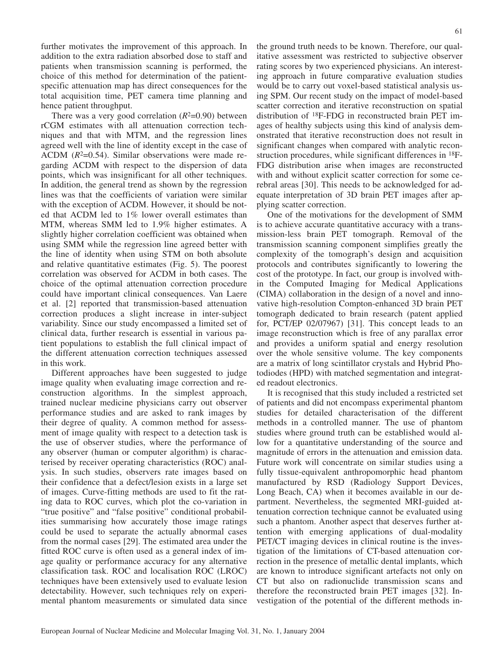further motivates the improvement of this approach. In addition to the extra radiation absorbed dose to staff and patients when transmission scanning is performed, the choice of this method for determination of the patientspecific attenuation map has direct consequences for the total acquisition time, PET camera time planning and hence patient throughput.

There was a very good correlation  $(R^2=0.90)$  between rCGM estimates with all attenuation correction techniques and that with MTM, and the regression lines agreed well with the line of identity except in the case of ACDM ( $R^2=0.54$ ). Similar observations were made regarding ACDM with respect to the dispersion of data points, which was insignificant for all other techniques. In addition, the general trend as shown by the regression lines was that the coefficients of variation were similar with the exception of ACDM. However, it should be noted that ACDM led to 1% lower overall estimates than MTM, whereas SMM led to 1.9% higher estimates. A slightly higher correlation coefficient was obtained when using SMM while the regression line agreed better with the line of identity when using STM on both absolute and relative quantitative estimates (Fig. 5). The poorest correlation was observed for ACDM in both cases. The choice of the optimal attenuation correction procedure could have important clinical consequences. Van Laere et al. [2] reported that transmission-based attenuation correction produces a slight increase in inter-subject variability. Since our study encompassed a limited set of clinical data, further research is essential in various patient populations to establish the full clinical impact of the different attenuation correction techniques assessed in this work.

Different approaches have been suggested to judge image quality when evaluating image correction and reconstruction algorithms. In the simplest approach, trained nuclear medicine physicians carry out observer performance studies and are asked to rank images by their degree of quality. A common method for assessment of image quality with respect to a detection task is the use of observer studies, where the performance of any observer (human or computer algorithm) is characterised by receiver operating characteristics (ROC) analysis. In such studies, observers rate images based on their confidence that a defect/lesion exists in a large set of images. Curve-fitting methods are used to fit the rating data to ROC curves, which plot the co-variation in "true positive" and "false positive" conditional probabilities summarising how accurately those image ratings could be used to separate the actually abnormal cases from the normal cases [29]. The estimated area under the fitted ROC curve is often used as a general index of image quality or performance accuracy for any alternative classification task. ROC and localisation ROC (LROC) techniques have been extensively used to evaluate lesion detectability. However, such techniques rely on experimental phantom measurements or simulated data since the ground truth needs to be known. Therefore, our qualitative assessment was restricted to subjective observer rating scores by two experienced physicians. An interesting approach in future comparative evaluation studies would be to carry out voxel-based statistical analysis using SPM. Our recent study on the impact of model-based scatter correction and iterative reconstruction on spatial distribution of 18F-FDG in reconstructed brain PET images of healthy subjects using this kind of analysis demonstrated that iterative reconstruction does not result in significant changes when compared with analytic reconstruction procedures, while significant differences in 18F-FDG distribution arise when images are reconstructed with and without explicit scatter correction for some cerebral areas [30]. This needs to be acknowledged for adequate interpretation of 3D brain PET images after applying scatter correction.

One of the motivations for the development of SMM is to achieve accurate quantitative accuracy with a transmission-less brain PET tomograph. Removal of the transmission scanning component simplifies greatly the complexity of the tomograph's design and acquisition protocols and contributes significantly to lowering the cost of the prototype. In fact, our group is involved within the Computed Imaging for Medical Applications (CIMA) collaboration in the design of a novel and innovative high-resolution Compton-enhanced 3D brain PET tomograph dedicated to brain research (patent applied for, PCT/EP 02/07967) [31]. This concept leads to an image reconstruction which is free of any parallax error and provides a uniform spatial and energy resolution over the whole sensitive volume. The key components are a matrix of long scintillator crystals and Hybrid Photodiodes (HPD) with matched segmentation and integrated readout electronics.

It is recognised that this study included a restricted set of patients and did not encompass experimental phantom studies for detailed characterisation of the different methods in a controlled manner. The use of phantom studies where ground truth can be established would allow for a quantitative understanding of the source and magnitude of errors in the attenuation and emission data. Future work will concentrate on similar studies using a fully tissue-equivalent anthropomorphic head phantom manufactured by RSD (Radiology Support Devices, Long Beach, CA) when it becomes available in our department. Nevertheless, the segmented MRI-guided attenuation correction technique cannot be evaluated using such a phantom. Another aspect that deserves further attention with emerging applications of dual-modality PET/CT imaging devices in clinical routine is the investigation of the limitations of CT-based attenuation correction in the presence of metallic dental implants, which are known to introduce significant artefacts not only on CT but also on radionuclide transmission scans and therefore the reconstructed brain PET images [32]. Investigation of the potential of the different methods in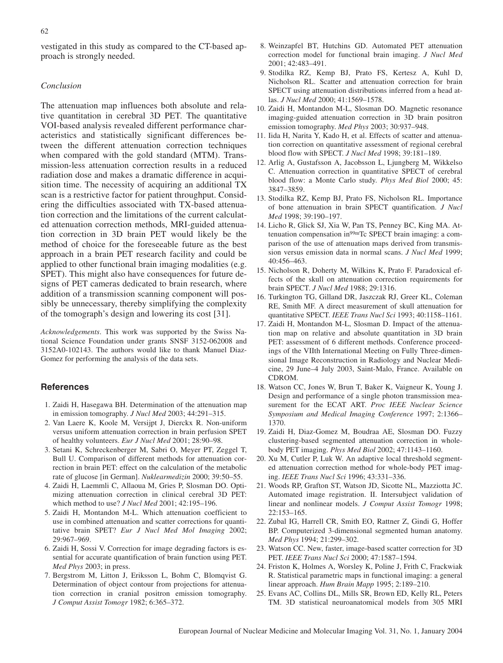vestigated in this study as compared to the CT-based approach is strongly needed.

# *Conclusion*

The attenuation map influences both absolute and relative quantitation in cerebral 3D PET. The quantitative VOI-based analysis revealed different performance characteristics and statistically significant differences between the different attenuation correction techniques when compared with the gold standard (MTM). Transmission-less attenuation correction results in a reduced radiation dose and makes a dramatic difference in acquisition time. The necessity of acquiring an additional TX scan is a restrictive factor for patient throughput. Considering the difficulties associated with TX-based attenuation correction and the limitations of the current calculated attenuation correction methods, MRI-guided attenuation correction in 3D brain PET would likely be the method of choice for the foreseeable future as the best approach in a brain PET research facility and could be applied to other functional brain imaging modalities (e.g. SPET). This might also have consequences for future designs of PET cameras dedicated to brain research, where addition of a transmission scanning component will possibly be unnecessary, thereby simplifying the complexity of the tomograph's design and lowering its cost [31].

*Acknowledgements*. This work was supported by the Swiss National Science Foundation under grants SNSF 3152-062008 and 3152A0-102143. The authors would like to thank Manuel Diaz-Gomez for performing the analysis of the data sets.

# **References**

- 1. Zaidi H, Hasegawa BH. Determination of the attenuation map in emission tomography. *J Nucl Med* 2003; 44:291–315.
- 2. Van Laere K, Koole M, Versijpt J, Dierckx R. Non-uniform versus uniform attenuation correction in brain perfusion SPET of healthy volunteers. *Eur J Nucl Med* 2001; 28:90–98.
- 3. Setani K, Schreckenberger M, Sabri O, Meyer PT, Zeggel T, Bull U. Comparison of different methods for attenuation correction in brain PET: effect on the calculation of the metabolic rate of glucose [in German]. *Nuklearmedizin* 2000; 39:50–55.
- 4. Zaidi H, Laemmli C, Allaoua M, Gries P, Slosman DO. Optimizing attenuation correction in clinical cerebral 3D PET: which method to use? *J Nucl Med* 2001; 42:195–196.
- 5. Zaidi H, Montandon M-L. Which attenuation coefficient to use in combined attenuation and scatter corrections for quantitative brain SPET? *Eur J Nucl Med Mol Imaging* 2002; 29:967–969.
- 6. Zaidi H, Sossi V. Correction for image degrading factors is essential for accurate quantification of brain function using PET. *Med Phys* 2003; in press.
- 7. Bergstrom M, Litton J, Eriksson L, Bohm C, Blomqvist G. Determination of object contour from projections for attenuation correction in cranial positron emission tomography. *J Comput Assist Tomogr* 1982; 6:365–372.
- 8. Weinzapfel BT, Hutchins GD. Automated PET attenuation correction model for functional brain imaging. *J Nucl Med* 2001; 42:483–491.
- 9. Stodilka RZ, Kemp BJ, Prato FS, Kertesz A, Kuhl D, Nicholson RL. Scatter and attenuation correction for brain SPECT using attenuation distributions inferred from a head atlas. *J Nucl Med* 2000; 41:1569–1578.
- 10. Zaidi H, Montandon M-L, Slosman DO. Magnetic resonance imaging-guided attenuation correction in 3D brain positron emission tomography. *Med Phys* 2003; 30:937–948.
- 11. Iida H, Narita Y, Kado H, et al. Effects of scatter and attenuation correction on quantitative assessment of regional cerebral blood flow with SPECT. *J Nucl Med* 1998; 39:181–189.
- 12. Arlig A, Gustafsson A, Jacobsson L, Ljungberg M, Wikkelso C. Attenuation correction in quantitative SPECT of cerebral blood flow: a Monte Carlo study. *Phys Med Biol* 2000; 45: 3847–3859.
- 13. Stodilka RZ, Kemp BJ, Prato FS, Nicholson RL. Importance of bone attenuation in brain SPECT quantification. *J Nucl Med* 1998; 39:190–197.
- 14. Licho R, Glick SJ, Xia W, Pan TS, Penney BC, King MA. Attenuation compensation in99mTc SPECT brain imaging: a comparison of the use of attenuation maps derived from transmission versus emission data in normal scans. *J Nucl Med* 1999; 40:456–463.
- 15. Nicholson R, Doherty M, Wilkins K, Prato F. Paradoxical effects of the skull on attenuation correction requirements for brain SPECT. *J Nucl Med* 1988; 29:1316.
- 16. Turkington TG, Gilland DR, Jaszczak RJ, Greer KL, Coleman RE, Smith MF. A direct measurement of skull attenuation for quantitative SPECT. *IEEE Trans Nucl Sci* 1993; 40:1158–1161.
- 17. Zaidi H, Montandon M-L, Slosman D. Impact of the attenuation map on relative and absolute quantitation in 3D brain PET: assessment of 6 different methods. Conference proceedings of the VIIth International Meeting on Fully Three-dimensional Image Reconstruction in Radiology and Nuclear Medicine, 29 June–4 July 2003, Saint-Malo, France. Available on CDROM.
- 18. Watson CC, Jones W, Brun T, Baker K, Vaigneur K, Young J. Design and performance of a single photon transmission measurement for the ECAT ART. *Proc IEEE Nuclear Science Symposium and Medical Imaging Conference* 1997; 2:1366– 1370.
- 19. Zaidi H, Diaz-Gomez M, Boudraa AE, Slosman DO. Fuzzy clustering-based segmented attenuation correction in wholebody PET imaging. *Phys Med Biol* 2002; 47:1143–1160.
- 20. Xu M, Cutler P, Luk W. An adaptive local threshold segmented attenuation correction method for whole-body PET imaging. *IEEE Trans Nucl Sci* 1996; 43:331–336.
- 21. Woods RP, Grafton ST, Watson JD, Sicotte NL, Mazziotta JC. Automated image registration. II. Intersubject validation of linear and nonlinear models. *J Comput Assist Tomogr* 1998; 22:153–165.
- 22. Zubal IG, Harrell CR, Smith EO, Rattner Z, Gindi G, Hoffer BP. Computerized 3-dimensional segmented human anatomy. *Med Phys* 1994; 21:299–302.
- 23. Watson CC. New, faster, image-based scatter correction for 3D PET. *IEEE Trans Nucl Sci* 2000; 47:1587–1594.
- 24. Friston K, Holmes A, Worsley K, Poline J, Frith C, Frackwiak R. Statistical parametric maps in functional imaging: a general linear approach. *Hum Brain Mapp* 1995; 2:189–210.
- 25. Evans AC, Collins DL, Mills SR, Brown ED, Kelly RL, Peters TM. 3D statistical neuroanatomical models from 305 MRI